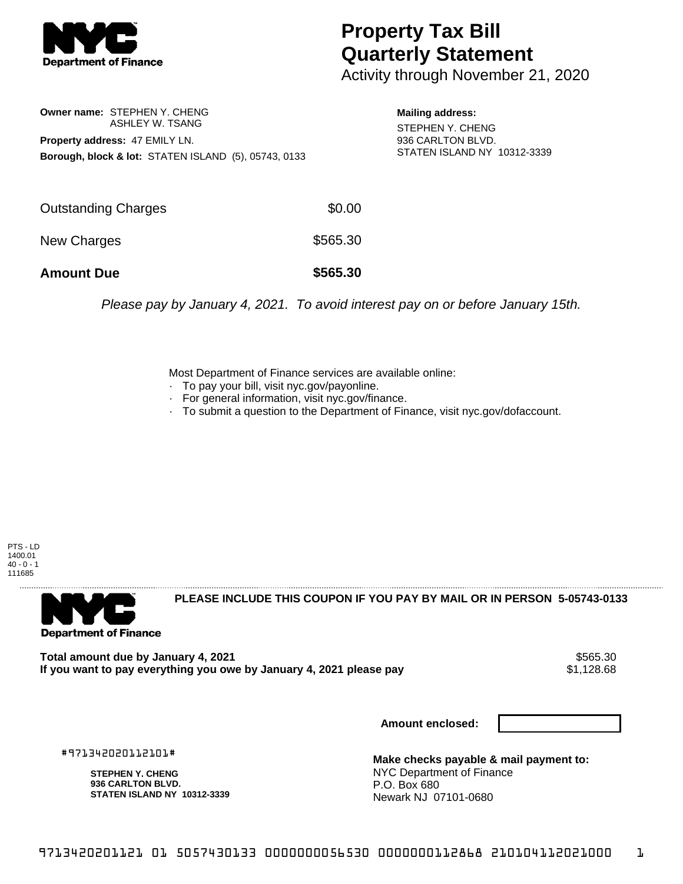

## **Property Tax Bill Quarterly Statement**

Activity through November 21, 2020

**Owner name:** STEPHEN Y. CHENG ASHLEY W. TSANG **Property address:** 47 EMILY LN. **Borough, block & lot:** STATEN ISLAND (5), 05743, 0133

**Mailing address:** STEPHEN Y. CHENG 936 CARLTON BLVD. STATEN ISLAND NY 10312-3339

| <b>Amount Due</b>   | \$565.30 |
|---------------------|----------|
| New Charges         | \$565.30 |
| Outstanding Charges | \$0.00   |

Please pay by January 4, 2021. To avoid interest pay on or before January 15th.

Most Department of Finance services are available online:

- · To pay your bill, visit nyc.gov/payonline.
- For general information, visit nyc.gov/finance.
- · To submit a question to the Department of Finance, visit nyc.gov/dofaccount.

PTS - LD 1400.01  $40 - 0 - 1$ 111685



**PLEASE INCLUDE THIS COUPON IF YOU PAY BY MAIL OR IN PERSON 5-05743-0133** 

Total amount due by January 4, 2021<br>If you want to pay everything you owe by January 4, 2021 please pay **ship in the set of the set of the set of** 1,128.68 If you want to pay everything you owe by January 4, 2021 please pay

**Amount enclosed:**

#971342020112101#

**STEPHEN Y. CHENG 936 CARLTON BLVD. STATEN ISLAND NY 10312-3339**

**Make checks payable & mail payment to:** NYC Department of Finance P.O. Box 680 Newark NJ 07101-0680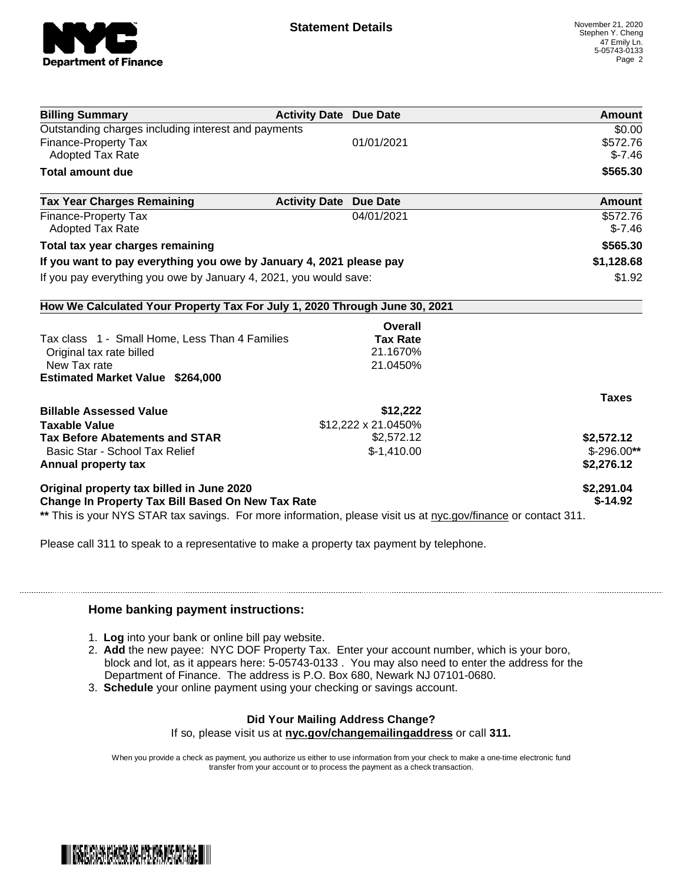

| <b>Billing Summary</b>                                                     | <b>Activity Date Due Date</b>           | Amount       |
|----------------------------------------------------------------------------|-----------------------------------------|--------------|
| Outstanding charges including interest and payments                        |                                         | \$0.00       |
| Finance-Property Tax                                                       | 01/01/2021                              | \$572.76     |
| <b>Adopted Tax Rate</b>                                                    |                                         | $$-7.46$     |
| <b>Total amount due</b>                                                    |                                         | \$565.30     |
| <b>Tax Year Charges Remaining</b>                                          | <b>Activity Date</b><br><b>Due Date</b> | Amount       |
| Finance-Property Tax                                                       | 04/01/2021                              | \$572.76     |
| <b>Adopted Tax Rate</b>                                                    |                                         | $$-7.46$     |
| Total tax year charges remaining                                           |                                         | \$565.30     |
| If you want to pay everything you owe by January 4, 2021 please pay        |                                         | \$1,128.68   |
| If you pay everything you owe by January 4, 2021, you would save:          |                                         | \$1.92       |
| How We Calculated Your Property Tax For July 1, 2020 Through June 30, 2021 |                                         |              |
|                                                                            | Overall                                 |              |
| Tax class 1 - Small Home, Less Than 4 Families                             | <b>Tax Rate</b>                         |              |
| Original tax rate billed                                                   | 21.1670%                                |              |
| New Tax rate                                                               | 21.0450%                                |              |
| <b>Estimated Market Value \$264,000</b>                                    |                                         |              |
|                                                                            |                                         | <b>Taxes</b> |
| <b>Billable Assessed Value</b>                                             | \$12,222                                |              |
| <b>Taxable Value</b>                                                       | \$12,222 x 21.0450%                     |              |
| <b>Tax Before Abatements and STAR</b>                                      | \$2,572.12                              | \$2,572.12   |
| Basic Star - School Tax Relief                                             | $$-1,410.00$                            | $$-296.00**$ |
| Annual property tax                                                        |                                         | \$2,276.12   |
| Original property tax billed in June 2020                                  |                                         | \$2,291.04   |
| <b>Change In Property Tax Bill Based On New Tax Rate</b>                   |                                         | $$-14.92$    |

Please call 311 to speak to a representative to make a property tax payment by telephone.

## **Home banking payment instructions:**

- 1. **Log** into your bank or online bill pay website.
- 2. **Add** the new payee: NYC DOF Property Tax. Enter your account number, which is your boro, block and lot, as it appears here: 5-05743-0133 . You may also need to enter the address for the Department of Finance. The address is P.O. Box 680, Newark NJ 07101-0680.
- 3. **Schedule** your online payment using your checking or savings account.

## **Did Your Mailing Address Change?**

If so, please visit us at **nyc.gov/changemailingaddress** or call **311.**

When you provide a check as payment, you authorize us either to use information from your check to make a one-time electronic fund transfer from your account or to process the payment as a check transaction.